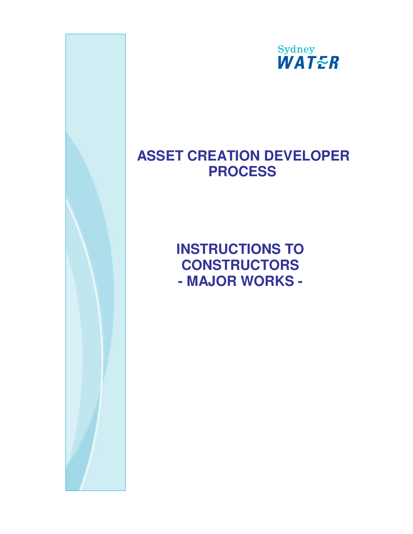

# **ASSET CREATION DEVELOPER PROCESS**

**INSTRUCTIONS TO CONSTRUCTORS - MAJOR WORKS -**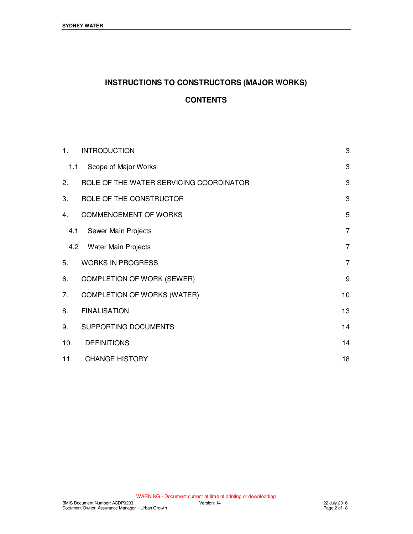# **INSTRUCTIONS TO CONSTRUCTORS (MAJOR WORKS)**

# **CONTENTS**

| 1.  | <b>INTRODUCTION</b>                     |                |  |
|-----|-----------------------------------------|----------------|--|
| 1.1 | Scope of Major Works                    | 3              |  |
| 2.  | ROLE OF THE WATER SERVICING COORDINATOR | 3              |  |
| 3.  | ROLE OF THE CONSTRUCTOR                 |                |  |
| 4.  | <b>COMMENCEMENT OF WORKS</b>            | 5              |  |
| 4.1 | Sewer Main Projects                     | $\overline{7}$ |  |
| 4.2 | <b>Water Main Projects</b>              | $\overline{7}$ |  |
| 5.  | <b>WORKS IN PROGRESS</b>                | $\overline{7}$ |  |
| 6.  | <b>COMPLETION OF WORK (SEWER)</b>       |                |  |
| 7.  | <b>COMPLETION OF WORKS (WATER)</b>      |                |  |
| 8.  | <b>FINALISATION</b>                     | 13             |  |
| 9.  | SUPPORTING DOCUMENTS                    | 14             |  |
| 10. | <b>DEFINITIONS</b>                      | 14             |  |
| 11. | <b>CHANGE HISTORY</b>                   | 18             |  |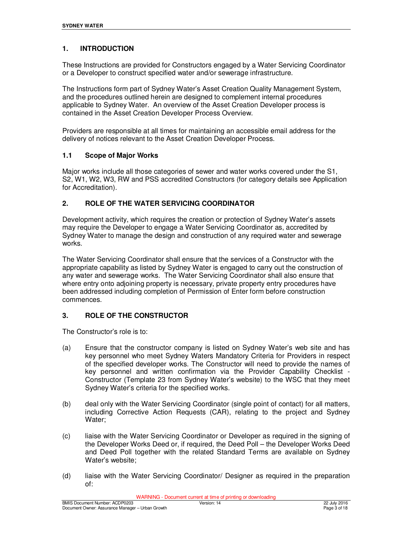# **1. INTRODUCTION**

These Instructions are provided for Constructors engaged by a Water Servicing Coordinator or a Developer to construct specified water and/or sewerage infrastructure.

The Instructions form part of Sydney Water's Asset Creation Quality Management System, and the procedures outlined herein are designed to complement internal procedures applicable to Sydney Water. An overview of the Asset Creation Developer process is contained in the Asset Creation Developer Process Overview.

Providers are responsible at all times for maintaining an accessible email address for the delivery of notices relevant to the Asset Creation Developer Process.

#### **1.1 Scope of Major Works**

Major works include all those categories of sewer and water works covered under the S1, S2, W1, W2, W3, RW and PSS accredited Constructors (for category details see Application for Accreditation).

#### **2. ROLE OF THE WATER SERVICING COORDINATOR**

Development activity, which requires the creation or protection of Sydney Water's assets may require the Developer to engage a Water Servicing Coordinator as, accredited by Sydney Water to manage the design and construction of any required water and sewerage works.

The Water Servicing Coordinator shall ensure that the services of a Constructor with the appropriate capability as listed by Sydney Water is engaged to carry out the construction of any water and sewerage works. The Water Servicing Coordinator shall also ensure that where entry onto adjoining property is necessary, private property entry procedures have been addressed including completion of Permission of Enter form before construction commences.

# **3. ROLE OF THE CONSTRUCTOR**

The Constructor's role is to:

- (a) Ensure that the constructor company is listed on Sydney Water's web site and has key personnel who meet Sydney Waters Mandatory Criteria for Providers in respect of the specified developer works. The Constructor will need to provide the names of key personnel and written confirmation via the Provider Capability Checklist - Constructor (Template 23 from Sydney Water's website) to the WSC that they meet Sydney Water's criteria for the specified works.
- (b) deal only with the Water Servicing Coordinator (single point of contact) for all matters, including Corrective Action Requests (CAR), relating to the project and Sydney Water;
- (c) liaise with the Water Servicing Coordinator or Developer as required in the signing of the Developer Works Deed or, if required, the Deed Poll – the Developer Works Deed and Deed Poll together with the related Standard Terms are available on Sydney Water's website;
- (d) liaise with the Water Servicing Coordinator/ Designer as required in the preparation of: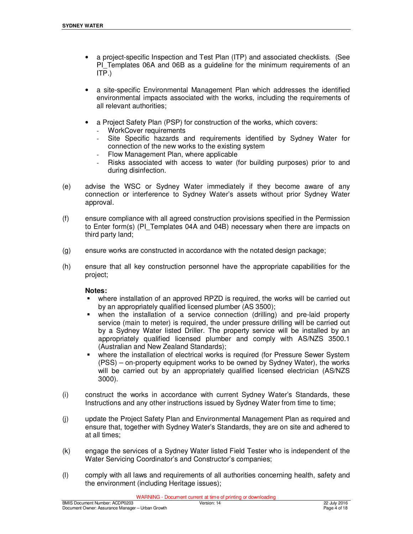- a project-specific Inspection and Test Plan (ITP) and associated checklists. (See PI Templates 06A and 06B as a guideline for the minimum requirements of an ITP.)
- a site-specific Environmental Management Plan which addresses the identified environmental impacts associated with the works, including the requirements of all relevant authorities;
- a Project Safety Plan (PSP) for construction of the works, which covers:
	- WorkCover requirements
	- Site Specific hazards and requirements identified by Sydney Water for connection of the new works to the existing system
	- Flow Management Plan, where applicable
	- Risks associated with access to water (for building purposes) prior to and during disinfection.
- (e) advise the WSC or Sydney Water immediately if they become aware of any connection or interference to Sydney Water's assets without prior Sydney Water approval.
- (f) ensure compliance with all agreed construction provisions specified in the Permission to Enter form(s) (PI\_Templates 04A and 04B) necessary when there are impacts on third party land;
- (g) ensure works are constructed in accordance with the notated design package;
- (h) ensure that all key construction personnel have the appropriate capabilities for the project;

#### **Notes:**

- where installation of an approved RPZD is required, the works will be carried out by an appropriately qualified licensed plumber (AS 3500);
- when the installation of a service connection (drilling) and pre-laid property service (main to meter) is required, the under pressure drilling will be carried out by a Sydney Water listed Driller. The property service will be installed by an appropriately qualified licensed plumber and comply with AS/NZS 3500.1 (Australian and New Zealand Standards);
- where the installation of electrical works is required (for Pressure Sewer System (PSS) – on-property equipment works to be owned by Sydney Water), the works will be carried out by an appropriately qualified licensed electrician (AS/NZS 3000).
- (i) construct the works in accordance with current Sydney Water's Standards, these Instructions and any other instructions issued by Sydney Water from time to time;
- (j) update the Project Safety Plan and Environmental Management Plan as required and ensure that, together with Sydney Water's Standards, they are on site and adhered to at all times;
- (k) engage the services of a Sydney Water listed Field Tester who is independent of the Water Servicing Coordinator's and Constructor's companies;
- (l) comply with all laws and requirements of all authorities concerning health, safety and the environment (including Heritage issues);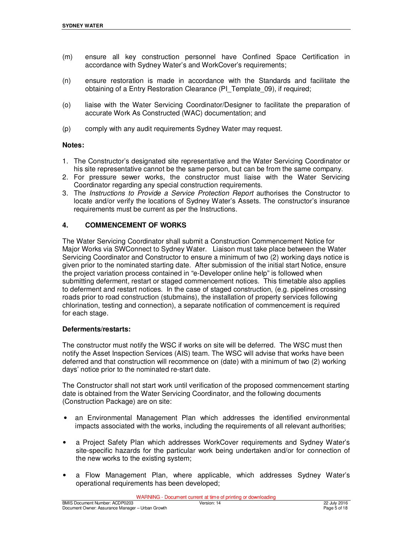- (m) ensure all key construction personnel have Confined Space Certification in accordance with Sydney Water's and WorkCover's requirements;
- (n) ensure restoration is made in accordance with the Standards and facilitate the obtaining of a Entry Restoration Clearance (PI\_Template\_09), if required;
- (o) liaise with the Water Servicing Coordinator/Designer to facilitate the preparation of accurate Work As Constructed (WAC) documentation; and
- (p) comply with any audit requirements Sydney Water may request.

#### **Notes:**

- 1. The Constructor's designated site representative and the Water Servicing Coordinator or his site representative cannot be the same person, but can be from the same company.
- 2. For pressure sewer works, the constructor must liaise with the Water Servicing Coordinator regarding any special construction requirements.
- 3. The Instructions to Provide a Service Protection Report authorises the Constructor to locate and/or verify the locations of Sydney Water's Assets. The constructor's insurance requirements must be current as per the Instructions.

#### **4. COMMENCEMENT OF WORKS**

The Water Servicing Coordinator shall submit a Construction Commencement Notice for Major Works via SWConnect to Sydney Water. Liaison must take place between the Water Servicing Coordinator and Constructor to ensure a minimum of two (2) working days notice is given prior to the nominated starting date. After submission of the initial start Notice, ensure the project variation process contained in "e-Developer online help" is followed when submitting deferment, restart or staged commencement notices. This timetable also applies to deferment and restart notices. In the case of staged construction, (e.g. pipelines crossing roads prior to road construction (stubmains), the installation of property services following chlorination, testing and connection), a separate notification of commencement is required for each stage.

#### **Deferments/restarts:**

The constructor must notify the WSC if works on site will be deferred. The WSC must then notify the Asset Inspection Services (AIS) team. The WSC will advise that works have been deferred and that construction will recommence on (date) with a minimum of two (2) working days' notice prior to the nominated re-start date.

The Constructor shall not start work until verification of the proposed commencement starting date is obtained from the Water Servicing Coordinator, and the following documents (Construction Package) are on site:

- an Environmental Management Plan which addresses the identified environmental impacts associated with the works, including the requirements of all relevant authorities;
- a Project Safety Plan which addresses WorkCover requirements and Sydney Water's site-specific hazards for the particular work being undertaken and/or for connection of the new works to the existing system;
- a Flow Management Plan, where applicable, which addresses Sydney Water's operational requirements has been developed;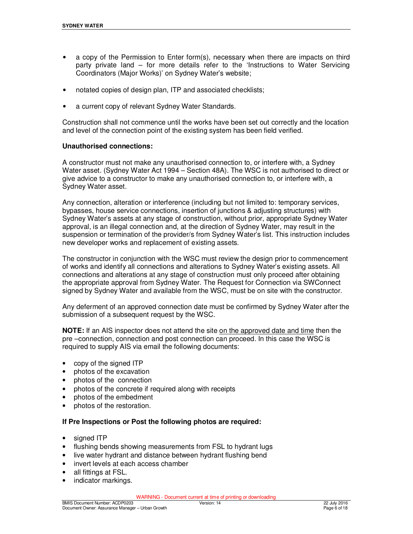- a copy of the Permission to Enter form(s), necessary when there are impacts on third party private land – for more details refer to the 'Instructions to Water Servicing Coordinators (Major Works)' on Sydney Water's website;
- notated copies of design plan, ITP and associated checklists;
- a current copy of relevant Sydney Water Standards.

Construction shall not commence until the works have been set out correctly and the location and level of the connection point of the existing system has been field verified.

#### **Unauthorised connections:**

A constructor must not make any unauthorised connection to, or interfere with, a Sydney Water asset. (Sydney Water Act 1994 – Section 48A). The WSC is not authorised to direct or give advice to a constructor to make any unauthorised connection to, or interfere with, a Sydney Water asset.

Any connection, alteration or interference (including but not limited to: temporary services, bypasses, house service connections, insertion of junctions & adjusting structures) with Sydney Water's assets at any stage of construction, without prior, appropriate Sydney Water approval, is an illegal connection and, at the direction of Sydney Water, may result in the suspension or termination of the provider/s from Sydney Water's list. This instruction includes new developer works and replacement of existing assets.

The constructor in conjunction with the WSC must review the design prior to commencement of works and identify all connections and alterations to Sydney Water's existing assets. All connections and alterations at any stage of construction must only proceed after obtaining the appropriate approval from Sydney Water. The Request for Connection via SWConnect signed by Sydney Water and available from the WSC, must be on site with the constructor.

Any deferment of an approved connection date must be confirmed by Sydney Water after the submission of a subsequent request by the WSC.

**NOTE:** If an AIS inspector does not attend the site on the approved date and time then the pre –connection, connection and post connection can proceed. In this case the WSC is required to supply AIS via email the following documents:

- copy of the signed ITP
- photos of the excavation
- photos of the connection
- photos of the concrete if required along with receipts
- photos of the embedment
- photos of the restoration.

#### **If Pre Inspections or Post the following photos are required:**

- signed ITP
- flushing bends showing measurements from FSL to hydrant lugs
- live water hydrant and distance between hydrant flushing bend
- invert levels at each access chamber
- all fittings at FSL.
- indicator markings.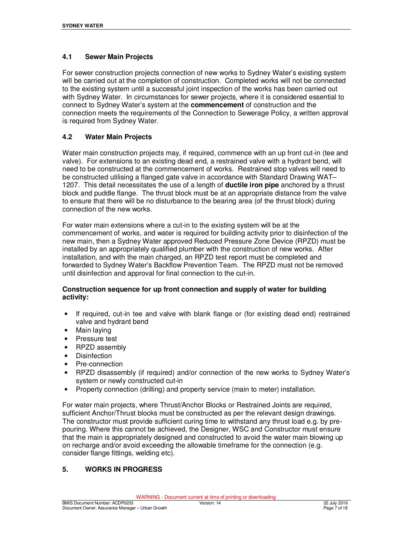#### **4.1 Sewer Main Projects**

For sewer construction projects connection of new works to Sydney Water's existing system will be carried out at the completion of construction. Completed works will not be connected to the existing system until a successful joint inspection of the works has been carried out with Sydney Water. In circumstances for sewer projects, where it is considered essential to connect to Sydney Water's system at the **commencement** of construction and the connection meets the requirements of the Connection to Sewerage Policy, a written approval is required from Sydney Water.

#### **4.2 Water Main Projects**

Water main construction projects may, if required, commence with an up front cut-in (tee and valve). For extensions to an existing dead end, a restrained valve with a hydrant bend, will need to be constructed at the commencement of works. Restrained stop valves will need to be constructed utilising a flanged gate valve in accordance with Standard Drawing WAT– 1207. This detail necessitates the use of a length of **ductile iron pipe** anchored by a thrust block and puddle flange. The thrust block must be at an appropriate distance from the valve to ensure that there will be no disturbance to the bearing area (of the thrust block) during connection of the new works.

For water main extensions where a cut-in to the existing system will be at the commencement of works, and water is required for building activity prior to disinfection of the new main, then a Sydney Water approved Reduced Pressure Zone Device (RPZD) must be installed by an appropriately qualified plumber with the construction of new works. After installation, and with the main charged, an RPZD test report must be completed and forwarded to Sydney Water's Backflow Prevention Team. The RPZD must not be removed until disinfection and approval for final connection to the cut-in.

#### **Construction sequence for up front connection and supply of water for building activity:**

- If required, cut-in tee and valve with blank flange or (for existing dead end) restrained valve and hydrant bend
- Main laying
- Pressure test
- RPZD assembly
- **Disinfection**
- Pre-connection
- RPZD disassembly (if required) and/or connection of the new works to Sydney Water's system or newly constructed cut-in
- Property connection (drilling) and property service (main to meter) installation.

For water main projects, where Thrust/Anchor Blocks or Restrained Joints are required, sufficient Anchor/Thrust blocks must be constructed as per the relevant design drawings. The constructor must provide sufficient curing time to withstand any thrust load e.g. by prepouring. Where this cannot be achieved, the Designer, WSC and Constructor must ensure that the main is appropriately designed and constructed to avoid the water main blowing up on recharge and/or avoid exceeding the allowable timeframe for the connection (e.g. consider flange fittings, welding etc).

# **5. WORKS IN PROGRESS**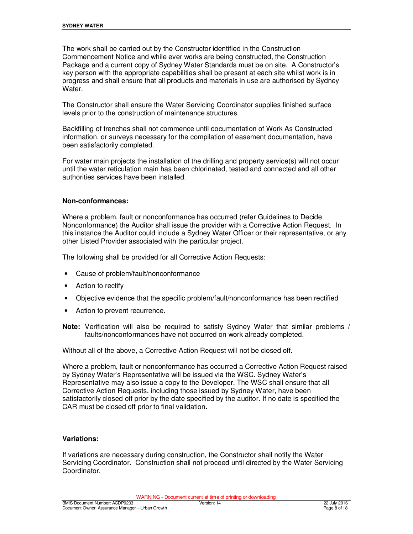The work shall be carried out by the Constructor identified in the Construction Commencement Notice and while ever works are being constructed, the Construction Package and a current copy of Sydney Water Standards must be on site. A Constructor's key person with the appropriate capabilities shall be present at each site whilst work is in progress and shall ensure that all products and materials in use are authorised by Sydney Water.

The Constructor shall ensure the Water Servicing Coordinator supplies finished surface levels prior to the construction of maintenance structures.

Backfilling of trenches shall not commence until documentation of Work As Constructed information, or surveys necessary for the compilation of easement documentation, have been satisfactorily completed.

For water main projects the installation of the drilling and property service(s) will not occur until the water reticulation main has been chlorinated, tested and connected and all other authorities services have been installed.

#### **Non-conformances:**

Where a problem, fault or nonconformance has occurred (refer Guidelines to Decide Nonconformance) the Auditor shall issue the provider with a Corrective Action Request. In this instance the Auditor could include a Sydney Water Officer or their representative, or any other Listed Provider associated with the particular project.

The following shall be provided for all Corrective Action Requests:

- Cause of problem/fault/nonconformance
- Action to rectify
- Objective evidence that the specific problem/fault/nonconformance has been rectified
- Action to prevent recurrence.

**Note:** Verification will also be required to satisfy Sydney Water that similar problems / faults/nonconformances have not occurred on work already completed.

Without all of the above, a Corrective Action Request will not be closed off.

Where a problem, fault or nonconformance has occurred a Corrective Action Request raised by Sydney Water's Representative will be issued via the WSC. Sydney Water's Representative may also issue a copy to the Developer. The WSC shall ensure that all Corrective Action Requests, including those issued by Sydney Water, have been satisfactorily closed off prior by the date specified by the auditor. If no date is specified the CAR must be closed off prior to final validation.

#### **Variations:**

If variations are necessary during construction, the Constructor shall notify the Water Servicing Coordinator. Construction shall not proceed until directed by the Water Servicing Coordinator.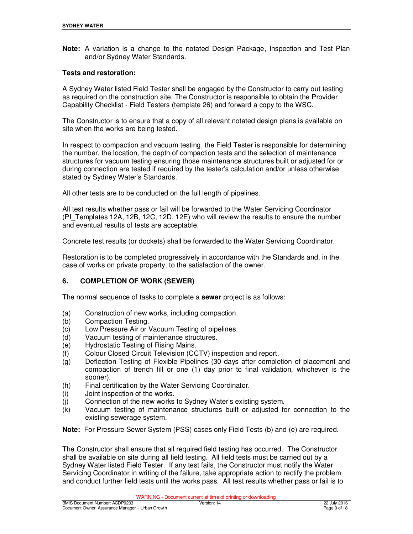**Note:** A variation is a change to the notated Design Package, Inspection and Test Plan and/or Sydney Water Standards.

#### **Tests and restoration:**

A Sydney Water listed Field Tester shall be engaged by the Constructor to carry out testing as required on the construction site. The Constructor is responsible to obtain the Provider Capability Checklist - Field Testers (template 26) and forward a copy to the WSC.

The Constructor is to ensure that a copy of all relevant notated design plans is available on site when the works are being tested.

In respect to compaction and vacuum testing, the Field Tester is responsible for determining the number, the location, the depth of compaction tests and the selection of maintenance structures for vacuum testing ensuring those maintenance structures built or adjusted for or during connection are tested if required by the tester's calculation and/or unless otherwise stated by Sydney Water's Standards.

All other tests are to be conducted on the full length of pipelines.

All test results whether pass or fail will be forwarded to the Water Servicing Coordinator (PI\_Templates 12A, 12B, 12C, 12D, 12E) who will review the results to ensure the number and eventual results of tests are acceptable.

Concrete test results (or dockets) shall be forwarded to the Water Servicing Coordinator.

Restoration is to be completed progressively in accordance with the Standards and, in the case of works on private property, to the satisfaction of the owner.

#### **6. COMPLETION OF WORK (SEWER)**

The normal sequence of tasks to complete a **sewer** project is as follows:

- (a) Construction of new works, including compaction.
- (b) Compaction Testing.
- (c) Low Pressure Air or Vacuum Testing of pipelines.<br>(d) Vacuum testing of maintenance structures.
- Vacuum testing of maintenance structures.
- (e) Hydrostatic Testing of Rising Mains.
- (f) Colour Closed Circuit Television (CCTV) inspection and report.
- (g) Deflection Testing of Flexible Pipelines (30 days after completion of placement and compaction of trench fill or one (1) day prior to final validation, whichever is the sooner).
- (h) Final certification by the Water Servicing Coordinator.
- (i) Joint inspection of the works.
- (j) Connection of the new works to Sydney Water's existing system.
- (k) Vacuum testing of maintenance structures built or adjusted for connection to the existing sewerage system.

**Note:** For Pressure Sewer System (PSS) cases only Field Tests (b) and (e) are required.

The Constructor shall ensure that all required field testing has occurred. The Constructor shall be available on site during all field testing. All field tests must be carried out by a Sydney Water listed Field Tester. If any test fails, the Constructor must notify the Water Servicing Coordinator in writing of the failure, take appropriate action to rectify the problem and conduct further field tests until the works pass. All test results whether pass or fail is to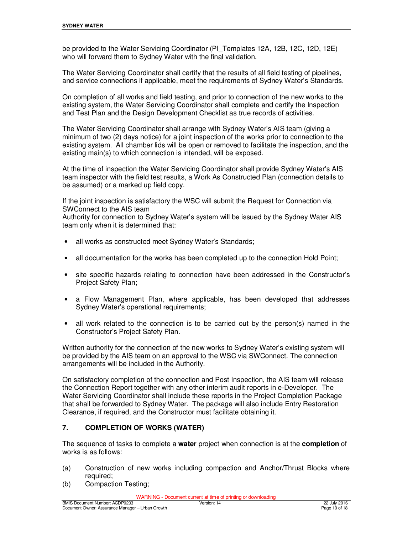be provided to the Water Servicing Coordinator (PI\_Templates 12A, 12B, 12C, 12D, 12E) who will forward them to Sydney Water with the final validation.

The Water Servicing Coordinator shall certify that the results of all field testing of pipelines, and service connections if applicable, meet the requirements of Sydney Water's Standards.

On completion of all works and field testing, and prior to connection of the new works to the existing system, the Water Servicing Coordinator shall complete and certify the Inspection and Test Plan and the Design Development Checklist as true records of activities.

The Water Servicing Coordinator shall arrange with Sydney Water's AIS team (giving a minimum of two (2) days notice) for a joint inspection of the works prior to connection to the existing system. All chamber lids will be open or removed to facilitate the inspection, and the existing main(s) to which connection is intended, will be exposed.

At the time of inspection the Water Servicing Coordinator shall provide Sydney Water's AIS team inspector with the field test results, a Work As Constructed Plan (connection details to be assumed) or a marked up field copy.

If the joint inspection is satisfactory the WSC will submit the Request for Connection via SWConnect to the AIS team

Authority for connection to Sydney Water's system will be issued by the Sydney Water AIS team only when it is determined that:

- all works as constructed meet Sydney Water's Standards;
- all documentation for the works has been completed up to the connection Hold Point;
- site specific hazards relating to connection have been addressed in the Constructor's Project Safety Plan;
- a Flow Management Plan, where applicable, has been developed that addresses Sydney Water's operational requirements;
- all work related to the connection is to be carried out by the person(s) named in the Constructor's Project Safety Plan.

Written authority for the connection of the new works to Sydney Water's existing system will be provided by the AIS team on an approval to the WSC via SWConnect. The connection arrangements will be included in the Authority.

On satisfactory completion of the connection and Post Inspection, the AIS team will release the Connection Report together with any other interim audit reports in e-Developer. The Water Servicing Coordinator shall include these reports in the Project Completion Package that shall be forwarded to Sydney Water. The package will also include Entry Restoration Clearance, if required, and the Constructor must facilitate obtaining it.

#### **7. COMPLETION OF WORKS (WATER)**

The sequence of tasks to complete a **water** project when connection is at the **completion** of works is as follows:

- (a) Construction of new works including compaction and Anchor/Thrust Blocks where required:
- (b) Compaction Testing;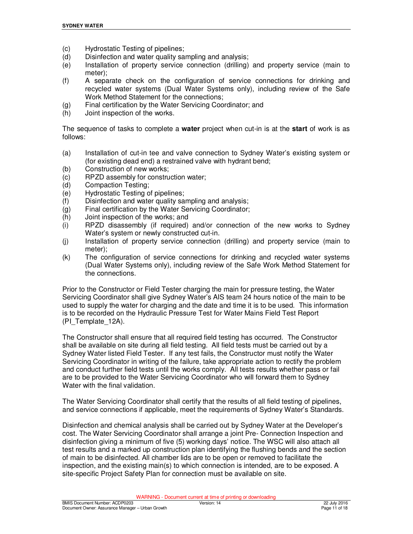- (c) Hydrostatic Testing of pipelines;
- (d) Disinfection and water quality sampling and analysis;
- (e) Installation of property service connection (drilling) and property service (main to meter);
- (f) A separate check on the configuration of service connections for drinking and recycled water systems (Dual Water Systems only), including review of the Safe Work Method Statement for the connections;
- (g) Final certification by the Water Servicing Coordinator; and
- (h) Joint inspection of the works.

The sequence of tasks to complete a **water** project when cut-in is at the **start** of work is as follows:

- (a) Installation of cut-in tee and valve connection to Sydney Water's existing system or (for existing dead end) a restrained valve with hydrant bend;
- (b) Construction of new works;
- (c) RPZD assembly for construction water;
- (d) Compaction Testing;
- (e) Hydrostatic Testing of pipelines;
- (f) Disinfection and water quality sampling and analysis;
- (g) Final certification by the Water Servicing Coordinator;
- (h) Joint inspection of the works; and
- (i) RPZD disassembly (if required) and/or connection of the new works to Sydney Water's system or newly constructed cut-in.
- (j) Installation of property service connection (drilling) and property service (main to meter);
- (k) The configuration of service connections for drinking and recycled water systems (Dual Water Systems only), including review of the Safe Work Method Statement for the connections.

Prior to the Constructor or Field Tester charging the main for pressure testing, the Water Servicing Coordinator shall give Sydney Water's AIS team 24 hours notice of the main to be used to supply the water for charging and the date and time it is to be used. This information is to be recorded on the Hydraulic Pressure Test for Water Mains Field Test Report (PI\_Template\_12A).

The Constructor shall ensure that all required field testing has occurred. The Constructor shall be available on site during all field testing. All field tests must be carried out by a Sydney Water listed Field Tester. If any test fails, the Constructor must notify the Water Servicing Coordinator in writing of the failure, take appropriate action to rectify the problem and conduct further field tests until the works comply. All tests results whether pass or fail are to be provided to the Water Servicing Coordinator who will forward them to Sydney Water with the final validation.

The Water Servicing Coordinator shall certify that the results of all field testing of pipelines, and service connections if applicable, meet the requirements of Sydney Water's Standards.

Disinfection and chemical analysis shall be carried out by Sydney Water at the Developer's cost. The Water Servicing Coordinator shall arrange a joint Pre- Connection Inspection and disinfection giving a minimum of five (5) working days' notice. The WSC will also attach all test results and a marked up construction plan identifying the flushing bends and the section of main to be disinfected. All chamber lids are to be open or removed to facilitate the inspection, and the existing main(s) to which connection is intended, are to be exposed. A site-specific Project Safety Plan for connection must be available on site.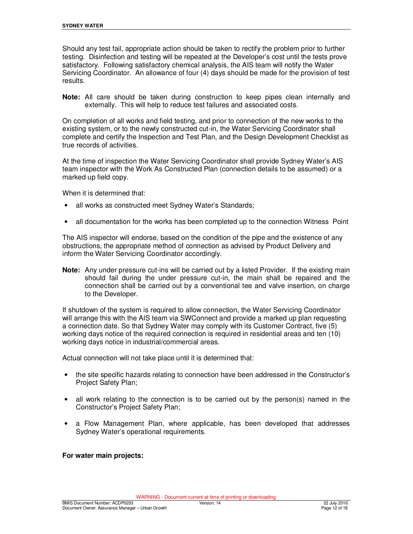Should any test fail, appropriate action should be taken to rectify the problem prior to further testing. Disinfection and testing will be repeated at the Developer's cost until the tests prove satisfactory. Following satisfactory chemical analysis, the AIS team will notify the Water Servicing Coordinator. An allowance of four (4) days should be made for the provision of test results.

**Note:** All care should be taken during construction to keep pipes clean internally and externally. This will help to reduce test failures and associated costs.

On completion of all works and field testing, and prior to connection of the new works to the existing system, or to the newly constructed cut-in, the Water Servicing Coordinator shall complete and certify the Inspection and Test Plan, and the Design Development Checklist as true records of activities.

At the time of inspection the Water Servicing Coordinator shall provide Sydney Water's AIS team inspector with the Work As Constructed Plan (connection details to be assumed) or a marked up field copy.

When it is determined that:

- all works as constructed meet Sydney Water's Standards;
- all documentation for the works has been completed up to the connection Witness Point

The AIS inspector will endorse, based on the condition of the pipe and the existence of any obstructions, the appropriate method of connection as advised by Product Delivery and inform the Water Servicing Coordinator accordingly.

**Note:** Any under pressure cut-ins will be carried out by a listed Provider. If the existing main should fail during the under pressure cut-in, the main shall be repaired and the connection shall be carried out by a conventional tee and valve insertion, on charge to the Developer.

If shutdown of the system is required to allow connection, the Water Servicing Coordinator will arrange this with the AIS team via SWConnect and provide a marked up plan requesting a connection date. So that Sydney Water may comply with its Customer Contract, five (5) working days notice of the required connection is required in residential areas and ten (10) working days notice in industrial/commercial areas.

Actual connection will not take place until it is determined that:

- the site specific hazards relating to connection have been addressed in the Constructor's Project Safety Plan;
- all work relating to the connection is to be carried out by the person(s) named in the Constructor's Project Safety Plan;
- a Flow Management Plan, where applicable, has been developed that addresses Sydney Water's operational requirements.

#### **For water main projects:**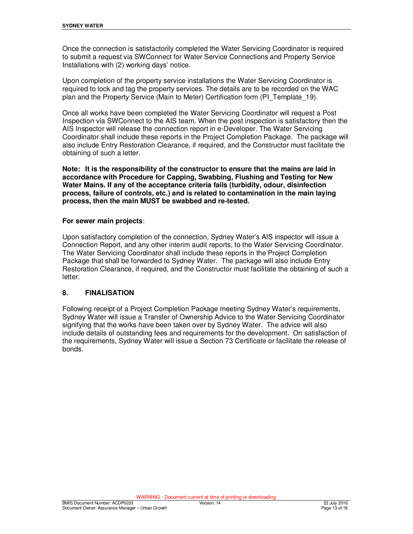Once the connection is satisfactorily completed the Water Servicing Coordinator is required to submit a request via SWConnect for Water Service Connections and Property Service Installations with (2) working days' notice.

Upon completion of the property service installations the Water Servicing Coordinator is required to lock and tag the property services. The details are to be recorded on the WAC plan and the Property Service (Main to Meter) Certification form (PI\_Template\_19).

Once all works have been completed the Water Servicing Coordinator will request a Post Inspection via SWConnect to the AIS team. When the post inspection is satisfactory then the AIS Inspector will release the connection report in e-Developer. The Water Servicing Coordinator shall include these reports in the Project Completion Package. The package will also include Entry Restoration Clearance, if required, and the Constructor must facilitate the obtaining of such a letter.

**Note: It is the responsibility of the constructor to ensure that the mains are laid in accordance with Procedure for Capping, Swabbing, Flushing and Testing for New Water Mains. If any of the acceptance criteria fails (turbidity, odour, disinfection process, failure of controls, etc.) and is related to contamination in the main laying process, then the main MUST be swabbed and re-tested.**

#### **For sewer main projects**:

Upon satisfactory completion of the connection, Sydney Water's AIS inspector will issue a Connection Report, and any other interim audit reports, to the Water Servicing Coordinator. The Water Servicing Coordinator shall include these reports in the Project Completion Package that shall be forwarded to Sydney Water. The package will also include Entry Restoration Clearance, if required, and the Constructor must facilitate the obtaining of such a letter.

#### **8. FINALISATION**

Following receipt of a Project Completion Package meeting Sydney Water's requirements, Sydney Water will issue a Transfer of Ownership Advice to the Water Servicing Coordinator signifying that the works have been taken over by Sydney Water. The advice will also include details of outstanding fees and requirements for the development. On satisfaction of the requirements, Sydney Water will issue a Section 73 Certificate or facilitate the release of bonds.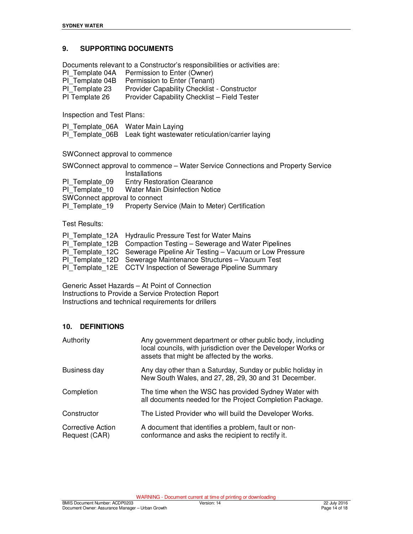#### **9. SUPPORTING DOCUMENTS**

Documents relevant to a Constructor's responsibilities or activities are:

- 
- PI\_Template 04A Permission to Enter (Owner)<br>PI Template 04B Permission to Enter (Tenant)
- PI\_Template 04B Permission to Enter (Tenant)<br>PI Template 23 Provider Capability Checklist
- PI\_Template 23 Provider Capability Checklist Constructor<br>PI Template 26 Provider Capability Checklist Field Tester Provider Capability Checklist – Field Tester

Inspection and Test Plans:

| PI_Template_06A Water Main Laying                                 |
|-------------------------------------------------------------------|
| PI_Template_06B Leak tight wastewater reticulation/carrier laying |

SWConnect approval to commence

SWConnect approval to commence – Water Service Connections and Property Service Installations PI\_Template\_09 Entry Restoration Clearance<br>PI\_Template\_10 Water Main Disinfection Notion Water Main Disinfection Notice SWConnect approval to connect<br>PI Template 19 Property Ser Property Service (Main to Meter) Certification

Test Results:

| PI Template 12A Hydraulic Pressure Test for Water Mains                |
|------------------------------------------------------------------------|
| PI Template 12B Compaction Testing – Sewerage and Water Pipelines      |
| PI Template 12C Sewerage Pipeline Air Testing - Vacuum or Low Pressure |
| PI Template 12D Sewerage Maintenance Structures - Vacuum Test          |
| PI Template 12E CCTV Inspection of Sewerage Pipeline Summary           |

Generic Asset Hazards – At Point of Connection Instructions to Provide a Service Protection Report Instructions and technical requirements for drillers

# **10. DEFINITIONS**

| Authority                          | Any government department or other public body, including<br>local councils, with jurisdiction over the Developer Works or<br>assets that might be affected by the works. |
|------------------------------------|---------------------------------------------------------------------------------------------------------------------------------------------------------------------------|
| Business day                       | Any day other than a Saturday, Sunday or public holiday in<br>New South Wales, and 27, 28, 29, 30 and 31 December.                                                        |
| Completion                         | The time when the WSC has provided Sydney Water with<br>all documents needed for the Project Completion Package.                                                          |
| Constructor                        | The Listed Provider who will build the Developer Works.                                                                                                                   |
| Corrective Action<br>Request (CAR) | A document that identifies a problem, fault or non-<br>conformance and asks the recipient to rectify it.                                                                  |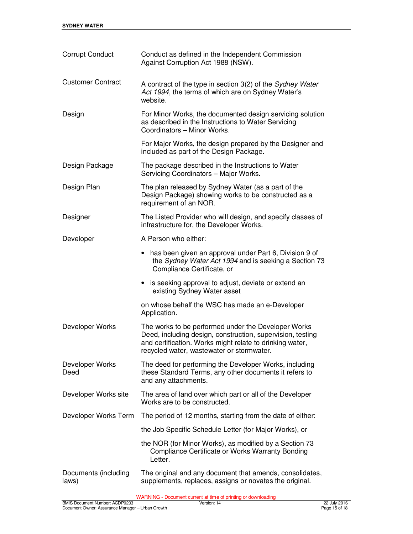| <b>Corrupt Conduct</b>        | Conduct as defined in the Independent Commission<br>Against Corruption Act 1988 (NSW).                                                                                                                                     |  |  |  |
|-------------------------------|----------------------------------------------------------------------------------------------------------------------------------------------------------------------------------------------------------------------------|--|--|--|
| <b>Customer Contract</b>      | A contract of the type in section 3(2) of the Sydney Water<br>Act 1994, the terms of which are on Sydney Water's<br>website.                                                                                               |  |  |  |
| Design                        | For Minor Works, the documented design servicing solution<br>as described in the Instructions to Water Servicing<br>Coordinators - Minor Works.                                                                            |  |  |  |
|                               | For Major Works, the design prepared by the Designer and<br>included as part of the Design Package.                                                                                                                        |  |  |  |
| Design Package                | The package described in the Instructions to Water<br>Servicing Coordinators - Major Works.                                                                                                                                |  |  |  |
| Design Plan                   | The plan released by Sydney Water (as a part of the<br>Design Package) showing works to be constructed as a<br>requirement of an NOR.                                                                                      |  |  |  |
| Designer                      | The Listed Provider who will design, and specify classes of<br>infrastructure for, the Developer Works.                                                                                                                    |  |  |  |
| Developer                     | A Person who either:                                                                                                                                                                                                       |  |  |  |
|                               | has been given an approval under Part 6, Division 9 of<br>$\bullet$<br>the Sydney Water Act 1994 and is seeking a Section 73<br>Compliance Certificate, or                                                                 |  |  |  |
|                               | • is seeking approval to adjust, deviate or extend an<br>existing Sydney Water asset                                                                                                                                       |  |  |  |
|                               | on whose behalf the WSC has made an e-Developer<br>Application.                                                                                                                                                            |  |  |  |
| Developer Works               | The works to be performed under the Developer Works<br>Deed, including design, construction, supervision, testing<br>and certification. Works might relate to drinking water,<br>recycled water, wastewater or stormwater. |  |  |  |
| Developer Works<br>Deed       | The deed for performing the Developer Works, including<br>these Standard Terms, any other documents it refers to<br>and any attachments.                                                                                   |  |  |  |
| Developer Works site          | The area of land over which part or all of the Developer<br>Works are to be constructed.                                                                                                                                   |  |  |  |
| Developer Works Term          | The period of 12 months, starting from the date of either:                                                                                                                                                                 |  |  |  |
|                               | the Job Specific Schedule Letter (for Major Works), or                                                                                                                                                                     |  |  |  |
|                               | the NOR (for Minor Works), as modified by a Section 73<br>Compliance Certificate or Works Warranty Bonding<br>Letter.                                                                                                      |  |  |  |
| Documents (including<br>laws) | The original and any document that amends, consolidates,<br>supplements, replaces, assigns or novates the original.                                                                                                        |  |  |  |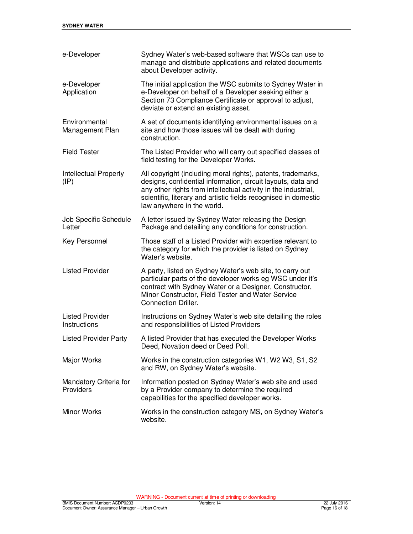| e-Developer                            | Sydney Water's web-based software that WSCs can use to<br>manage and distribute applications and related documents<br>about Developer activity.                                                                                                                                                 |
|----------------------------------------|-------------------------------------------------------------------------------------------------------------------------------------------------------------------------------------------------------------------------------------------------------------------------------------------------|
| e-Developer<br>Application             | The initial application the WSC submits to Sydney Water in<br>e-Developer on behalf of a Developer seeking either a<br>Section 73 Compliance Certificate or approval to adjust,<br>deviate or extend an existing asset.                                                                         |
| Environmental<br>Management Plan       | A set of documents identifying environmental issues on a<br>site and how those issues will be dealt with during<br>construction.                                                                                                                                                                |
| <b>Field Tester</b>                    | The Listed Provider who will carry out specified classes of<br>field testing for the Developer Works.                                                                                                                                                                                           |
| <b>Intellectual Property</b><br>(IP)   | All copyright (including moral rights), patents, trademarks,<br>designs, confidential information, circuit layouts, data and<br>any other rights from intellectual activity in the industrial,<br>scientific, literary and artistic fields recognised in domestic<br>law anywhere in the world. |
| Job Specific Schedule<br>Letter        | A letter issued by Sydney Water releasing the Design<br>Package and detailing any conditions for construction.                                                                                                                                                                                  |
| Key Personnel                          | Those staff of a Listed Provider with expertise relevant to<br>the category for which the provider is listed on Sydney<br>Water's website.                                                                                                                                                      |
| <b>Listed Provider</b>                 | A party, listed on Sydney Water's web site, to carry out<br>particular parts of the developer works eg WSC under it's<br>contract with Sydney Water or a Designer, Constructor,<br>Minor Constructor, Field Tester and Water Service<br><b>Connection Driller.</b>                              |
| <b>Listed Provider</b><br>Instructions | Instructions on Sydney Water's web site detailing the roles<br>and responsibilities of Listed Providers                                                                                                                                                                                         |
| <b>Listed Provider Party</b>           | A listed Provider that has executed the Developer Works<br>Deed, Novation deed or Deed Poll.                                                                                                                                                                                                    |
| Major Works                            | Works in the construction categories W1, W2 W3, S1, S2<br>and RW, on Sydney Water's website.                                                                                                                                                                                                    |
| Mandatory Criteria for<br>Providers    | Information posted on Sydney Water's web site and used<br>by a Provider company to determine the required<br>capabilities for the specified developer works.                                                                                                                                    |
| <b>Minor Works</b>                     | Works in the construction category MS, on Sydney Water's<br>website.                                                                                                                                                                                                                            |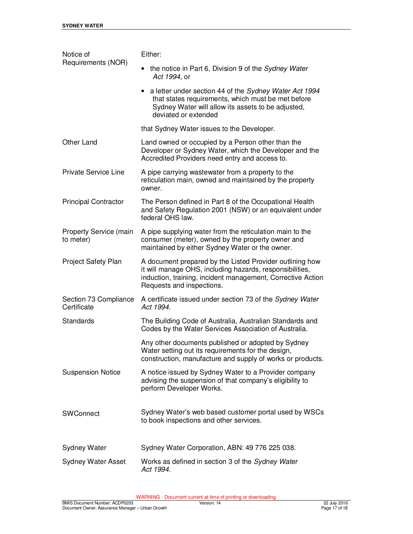| Notice of<br>Requirements (NOR)            | Either:                                                                                                                                                                                                          |  |  |  |
|--------------------------------------------|------------------------------------------------------------------------------------------------------------------------------------------------------------------------------------------------------------------|--|--|--|
|                                            | the notice in Part 6, Division 9 of the Sydney Water<br>Act 1994, or                                                                                                                                             |  |  |  |
|                                            | a letter under section 44 of the Sydney Water Act 1994<br>that states requirements, which must be met before<br>Sydney Water will allow its assets to be adjusted,<br>deviated or extended                       |  |  |  |
|                                            | that Sydney Water issues to the Developer.                                                                                                                                                                       |  |  |  |
| Other Land                                 | Land owned or occupied by a Person other than the<br>Developer or Sydney Water, which the Developer and the<br>Accredited Providers need entry and access to.                                                    |  |  |  |
| <b>Private Service Line</b>                | A pipe carrying wastewater from a property to the<br>reticulation main, owned and maintained by the property<br>owner.                                                                                           |  |  |  |
| <b>Principal Contractor</b>                | The Person defined in Part 8 of the Occupational Health<br>and Safety Regulation 2001 (NSW) or an equivalent under<br>federal OHS law.                                                                           |  |  |  |
| <b>Property Service (main</b><br>to meter) | A pipe supplying water from the reticulation main to the<br>consumer (meter), owned by the property owner and<br>maintained by either Sydney Water or the owner.                                                 |  |  |  |
| Project Safety Plan                        | A document prepared by the Listed Provider outlining how<br>it will manage OHS, including hazards, responsibilities,<br>induction, training, incident management, Corrective Action<br>Requests and inspections. |  |  |  |
| Section 73 Compliance<br>Certificate       | A certificate issued under section 73 of the Sydney Water<br>Act 1994.                                                                                                                                           |  |  |  |
| Standards                                  | The Building Code of Australia, Australian Standards and<br>Codes by the Water Services Association of Australia.                                                                                                |  |  |  |
|                                            | Any other documents published or adopted by Sydney<br>Water setting out its requirements for the design,<br>construction, manufacture and supply of works or products.                                           |  |  |  |
| <b>Suspension Notice</b>                   | A notice issued by Sydney Water to a Provider company<br>advising the suspension of that company's eligibility to<br>perform Developer Works.                                                                    |  |  |  |
| <b>SWConnect</b>                           | Sydney Water's web based customer portal used by WSCs<br>to book inspections and other services.                                                                                                                 |  |  |  |
| <b>Sydney Water</b>                        | Sydney Water Corporation, ABN: 49 776 225 038.                                                                                                                                                                   |  |  |  |
| <b>Sydney Water Asset</b>                  | Works as defined in section 3 of the Sydney Water<br>Act 1994.                                                                                                                                                   |  |  |  |